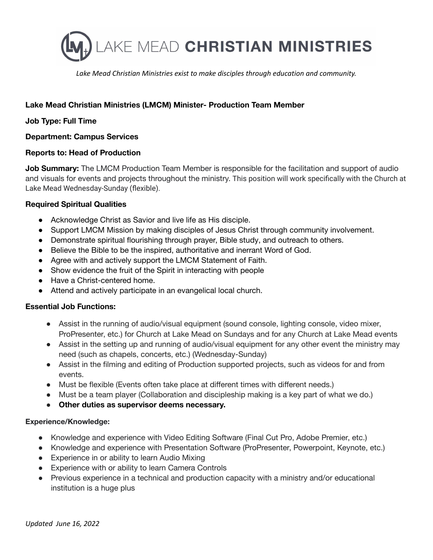

*Lake Mead Christian Ministries exist to make disciples through education and community.*

# **Lake Mead Christian Ministries (LMCM) Minister- Production Team Member**

## **Job Type: Full Time**

#### **Department: Campus Services**

## **Reports to: Head of Production**

**Job Summary:** The LMCM Production Team Member is responsible for the facilitation and support of audio and visuals for events and projects throughout the ministry. This position will work specifically with the Church at Lake Mead Wednesday-Sunday (flexible).

## **Required Spiritual Qualities**

- Acknowledge Christ as Savior and live life as His disciple.
- Support LMCM Mission by making disciples of Jesus Christ through community involvement.
- Demonstrate spiritual flourishing through prayer, Bible study, and outreach to others.
- Believe the Bible to be the inspired, authoritative and inerrant Word of God.
- Agree with and actively support the LMCM Statement of Faith.
- Show evidence the fruit of the Spirit in interacting with people
- Have a Christ-centered home.
- Attend and actively participate in an evangelical local church.

#### **Essential Job Functions:**

- Assist in the running of audio/visual equipment (sound console, lighting console, video mixer, ProPresenter, etc.) for Church at Lake Mead on Sundays and for any Church at Lake Mead events
- Assist in the setting up and running of audio/visual equipment for any other event the ministry may need (such as chapels, concerts, etc.) (Wednesday-Sunday)
- Assist in the filming and editing of Production supported projects, such as videos for and from events.
- Must be flexible (Events often take place at different times with different needs.)
- Must be a team player (Collaboration and discipleship making is a key part of what we do.)
- **Other duties as supervisor deems necessary.**

#### **Experience/Knowledge:**

- Knowledge and experience with Video Editing Software (Final Cut Pro, Adobe Premier, etc.)
- Knowledge and experience with Presentation Software (ProPresenter, Powerpoint, Keynote, etc.)
- Experience in or ability to learn Audio Mixing
- Experience with or ability to learn Camera Controls
- Previous experience in a technical and production capacity with a ministry and/or educational institution is a huge plus